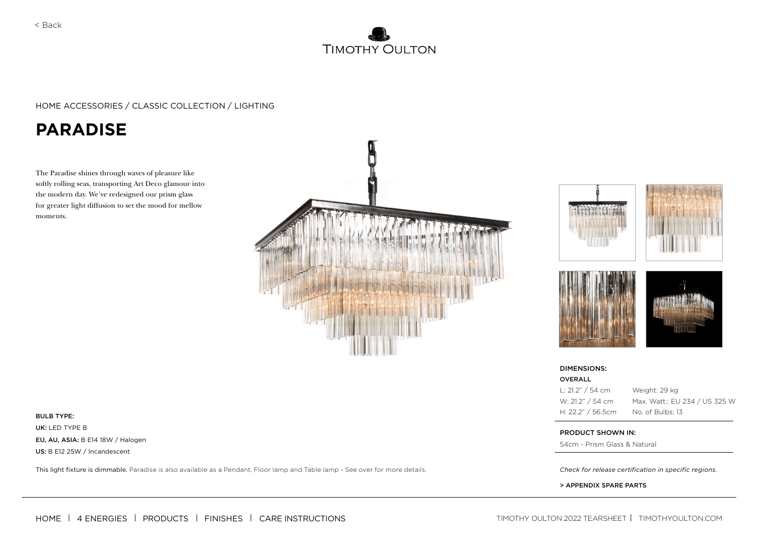

#### HOME ACCESSORIES / CLASSIC COLLECTION / LIGHTING

# **PARADISE**

The Paradise shines through waves of pleasure like softly rolling seas, transporting Art Deco glamour into the modern day. We've redesigned our prism glass for greater light diffusion to set the mood for mellow moments.











| DIMENSIONS: |  |
|-------------|--|
| OVERALL     |  |



Weight: 29 kg Max. Watt.: EU 234 / US 325 W

#### PRODUCT SHOWN IN:

54cm - Prism Glass & Natural

> APPENDIX SPARE PARTS

UK: LED TYPE B EU, AU, ASIA: B E14 18W / Halogen US: B E12 25W / Incandescent

This light fixture is dimmable. Paradise is also available as a Pendant, Floor lamp and Table lamp - See over for more details. **Check for release certification in specific regions.** 

[HOME](https://www.timothyoulton.com/) 4 ENERGIES PRODUCTS FINISHES CARE INSTRUCTIONS TIMOTHY OULTON 2022 TEARSHEET [TIMOTHYOULTON.COM](http://timothyoulton.com)